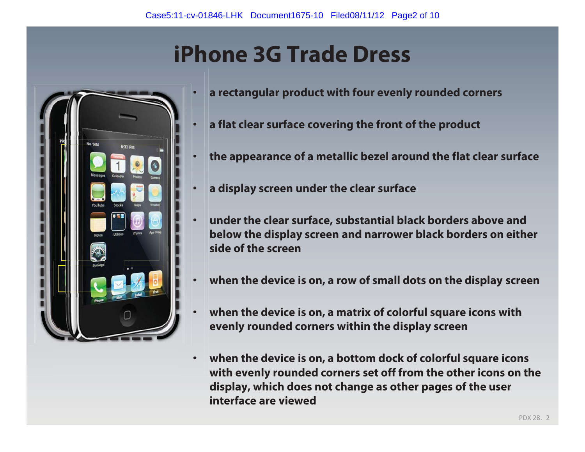# **iPhone 3G Trade Dress**

•

•



- **a rectangular product with four evenly rounded corners**
- •**a flat clear surface covering the front of the product**
- **the appearance of a metallic bezel around the flat clear surface**
- •**a display screen under the clear surface**
- • **under the clear surface, substantial black borders above and below the display screen and narrower black borders on either side of the screen**
- •**when the device is on, a row of small dots on the display screen**
- • **when the device is on, a matrix of colorful square icons with evenly rounded corners within the display screen**
- • **when the device is on, a bottom dock of colorful square icons with evenly rounded corners set off from the other icons on the display, which does not change as other pages of the user interface are viewed**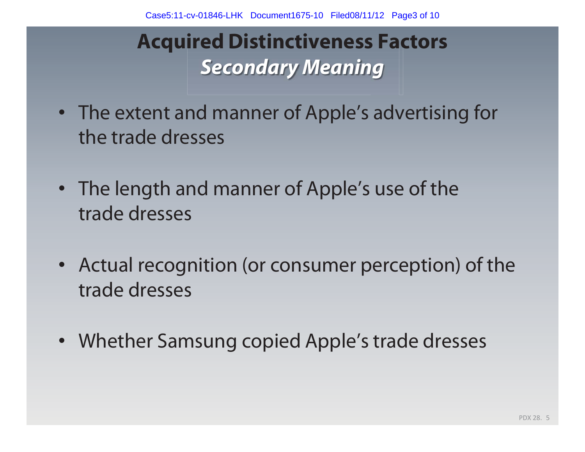### **Acquired Distinctiveness Factors**  *Secondary Meaning*

- The extent and manner of Apple's advertising for the trade dresses
- The length and manner of Apple's use of the trade dresses
- Actual recognition (or consumer perception) of the trade dresses
- Whether Samsung copied Apple's trade dresses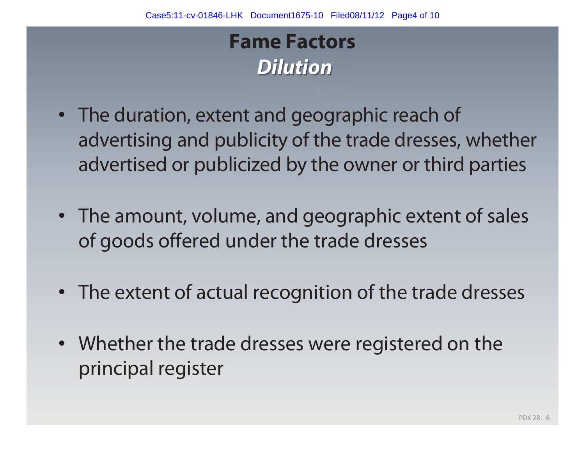#### **Fame Factors**  *Dilution*

- The duration, extent and geographic reach of advertising and publicity of the trade dresses, whether advertised or publicized by the owner or third parties
- The amount, volume, and geographic extent of sales of goods offered under the trade dresses
- The extent of actual recognition of the trade dresses
- Whether the trade dresses were registered on the principal register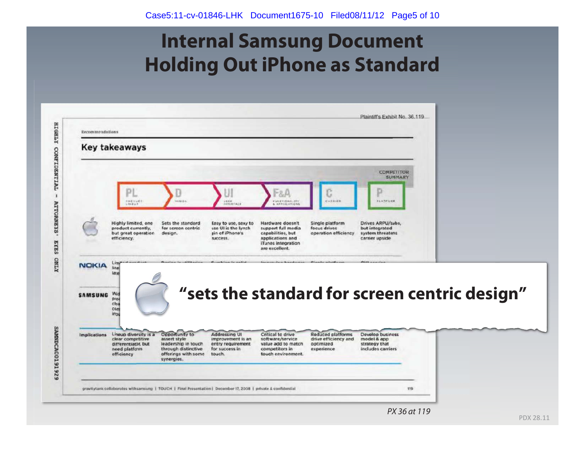#### **Internal Samsung Document Holding Out iPhone as Standard**

|                                       | <b>Key takeaways</b>                                                                             |                                                                                                                   |                                                                                            |                                                                                                                         |                                                                      |                                                                           |                                               |
|---------------------------------------|--------------------------------------------------------------------------------------------------|-------------------------------------------------------------------------------------------------------------------|--------------------------------------------------------------------------------------------|-------------------------------------------------------------------------------------------------------------------------|----------------------------------------------------------------------|---------------------------------------------------------------------------|-----------------------------------------------|
|                                       | D.<br><b>PNEDUCT</b><br>16.848                                                                   | 345106                                                                                                            | <b>VENW</b><br>HEELEVALE                                                                   | 1-8.A<br><b>KUNETIONALISY</b><br><b>APRILLATIONS</b>                                                                    | CARRIER                                                              | <b>COMPETITOR</b><br>SUMMARY<br>PLATFORM                                  |                                               |
|                                       | Highly limited, one<br>product currently,<br>but great operation<br>efficiency.                  | Sets the standard<br>for screen centric<br>design.                                                                | Easy to use, sexy to<br>use UI is the lynch<br>pin of iPhone's<br>SUCCOSS.                 | Hardware doesn't<br>support full media<br>capabilities, but<br>applications and<br>iTunes integration<br>are excellent. | Single platform<br>focus drives<br>operation efficiency              | Drives ARPU/subs,<br>but integrated<br>system threatens<br>carrier upside |                                               |
| <b>NOKIA</b>                          | line                                                                                             |                                                                                                                   |                                                                                            |                                                                                                                         |                                                                      |                                                                           |                                               |
|                                       | late                                                                                             |                                                                                                                   |                                                                                            |                                                                                                                         |                                                                      |                                                                           |                                               |
|                                       | Wid<br><b>D</b> for<br>clot<br>con<br>inp.                                                       |                                                                                                                   |                                                                                            |                                                                                                                         |                                                                      |                                                                           | "sets the standard for screen centric design" |
| <b>SAMSUNG</b><br><b>Implications</b> | Lineup diversity is a<br>clear competitive<br>differentiator, but<br>need platform<br>efficiency | Opportunity to<br>assert style<br>leadership in touch<br>through distinctive<br>offerings with some<br>synergies. | <b>Addressing UI</b><br>improvement is an<br>entry requirement<br>for success in<br>touch. | Critical to drive<br>software/service<br>value add to match<br>competitors in<br>touch environment.                     | Reduced platforms<br>drive efficiency and<br>optimized<br>experience | Develop business<br>model & app<br>strategy that<br>includes carriers     |                                               |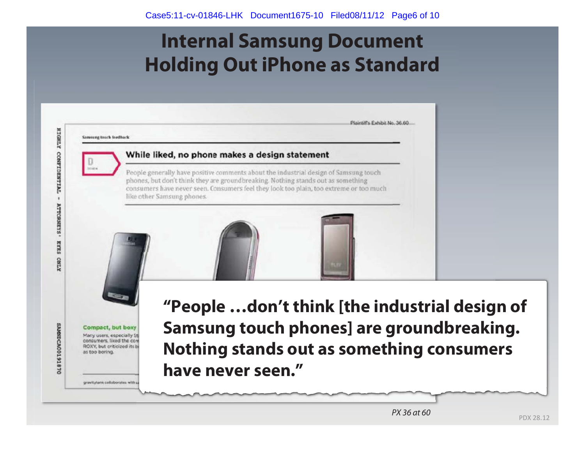#### **Internal Samsung Document Holding Out iPhone as Standard**



PDX 28. 12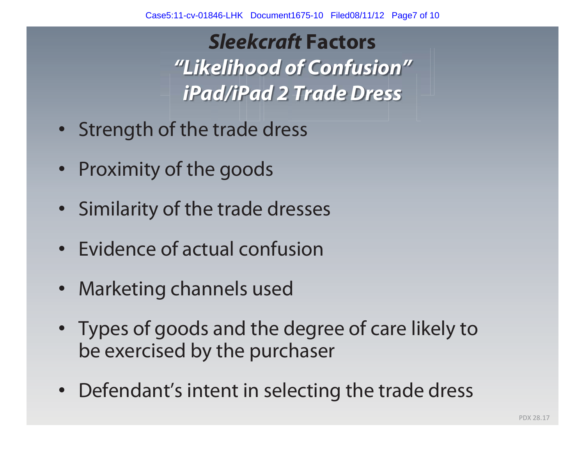*Sleekcraft* **Factors**  *"Likelihood of Confusion" iPad/iPad 2 Trade Dress* 

- Strength of the trade dress
- Proximity of the goods
- Similarity of the trade dresses
- Evidence of actual confusion
- Marketing channels used
- Types of goods and the degree of care likely to be exercised by the purchaser
- Defendant's intent in selecting the trade dress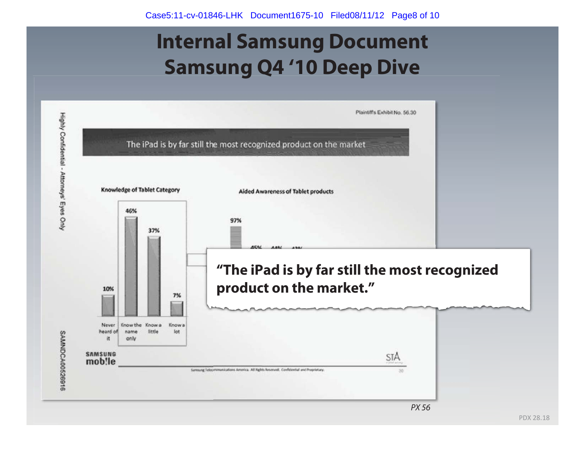## **Internal Samsung Document Samsung Q4 '10 Deep Dive**

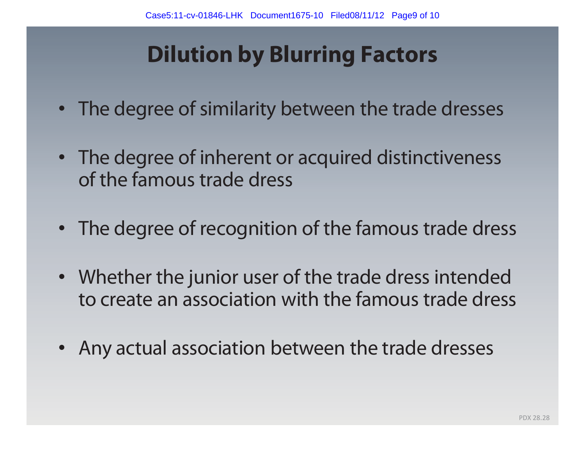# **Dilution by Blurring Factors**

- The degree of similarity between the trade dresses
- The degree of inherent or acquired distinctiveness of the famous trade dress
- The degree of recognition of the famous trade dress
- Whether the junior user of the trade dress intended to create an association with the famous trade dress
- Any actual association between the trade dresses